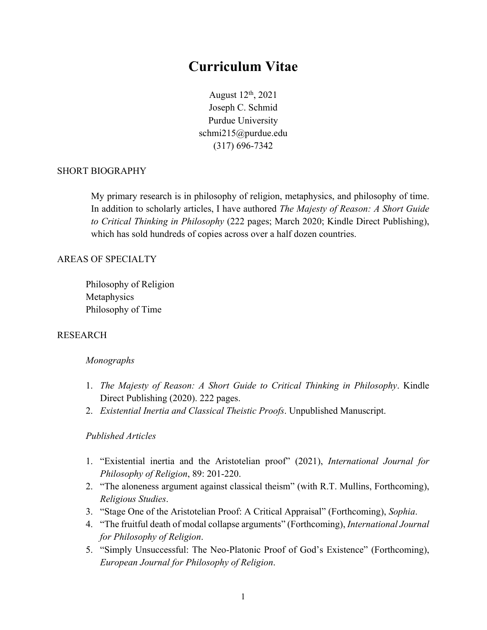# **Curriculum Vitae**

August 12th, 2021 Joseph C. Schmid Purdue University schmi215@purdue.edu (317) 696-7342

### SHORT BIOGRAPHY

My primary research is in philosophy of religion, metaphysics, and philosophy of time. In addition to scholarly articles, I have authored *The Majesty of Reason: A Short Guide to Critical Thinking in Philosophy* (222 pages; March 2020; Kindle Direct Publishing), which has sold hundreds of copies across over a half dozen countries.

## AREAS OF SPECIALTY

Philosophy of Religion Metaphysics Philosophy of Time

#### RESEARCH

#### *Monographs*

- 1. *The Majesty of Reason: A Short Guide to Critical Thinking in Philosophy*. Kindle Direct Publishing (2020). 222 pages.
- 2. *Existential Inertia and Classical Theistic Proofs*. Unpublished Manuscript.

#### *Published Articles*

- 1. "Existential inertia and the Aristotelian proof" (2021), *International Journal for Philosophy of Religion*, 89: 201-220.
- 2. "The aloneness argument against classical theism" (with R.T. Mullins, Forthcoming), *Religious Studies*.
- 3. "Stage One of the Aristotelian Proof: A Critical Appraisal" (Forthcoming), *Sophia*.
- 4. "The fruitful death of modal collapse arguments" (Forthcoming), *International Journal for Philosophy of Religion*.
- 5. "Simply Unsuccessful: The Neo-Platonic Proof of God's Existence" (Forthcoming), *European Journal for Philosophy of Religion*.